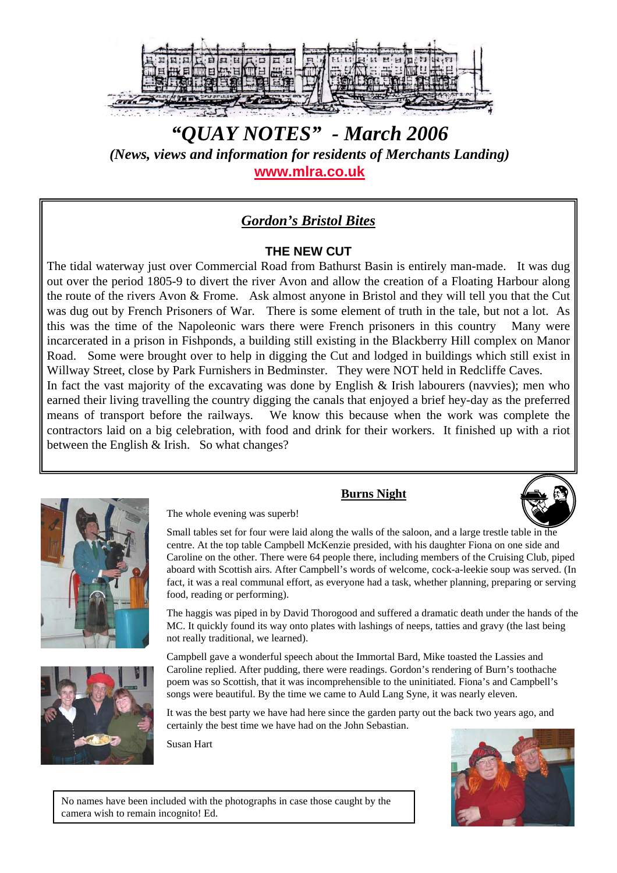

*"QUAY NOTES" - March 2006 (News, views and information for residents of Merchants Landing)* **www.mlra.co.uk**

# *Gordon's Bristol Bites*

#### **THE NEW CUT**

The tidal waterway just over Commercial Road from Bathurst Basin is entirely man-made. It was dug out over the period 1805-9 to divert the river Avon and allow the creation of a Floating Harbour along the route of the rivers Avon & Frome. Ask almost anyone in Bristol and they will tell you that the Cut was dug out by French Prisoners of War. There is some element of truth in the tale, but not a lot. As this was the time of the Napoleonic wars there were French prisoners in this country Many were incarcerated in a prison in Fishponds, a building still existing in the Blackberry Hill complex on Manor Road. Some were brought over to help in digging the Cut and lodged in buildings which still exist in Willway Street, close by Park Furnishers in Bedminster. They were NOT held in Redcliffe Caves. In fact the vast majority of the excavating was done by English & Irish labourers (navvies); men who earned their living travelling the country digging the canals that enjoyed a brief hey-day as the preferred means of transport before the railways. We know this because when the work was complete the contractors laid on a big celebration, with food and drink for their workers. It finished up with a riot between the English & Irish. So what changes?





**Burns Night**



Small tables set for four were laid along the walls of the saloon, and a large trestle table in the centre. At the top table Campbell McKenzie presided, with his daughter Fiona on one side and Caroline on the other. There were 64 people there, including members of the Cruising Club, piped aboard with Scottish airs. After Campbell's words of welcome, cock-a-leekie soup was served. (In fact, it was a real communal effort, as everyone had a task, whether planning, preparing or serving food, reading or performing).

The haggis was piped in by David Thorogood and suffered a dramatic death under the hands of the MC. It quickly found its way onto plates with lashings of neeps, tatties and gravy (the last being not really traditional, we learned).

Campbell gave a wonderful speech about the Immortal Bard, Mike toasted the Lassies and Caroline replied. After pudding, there were readings. Gordon's rendering of Burn's toothache poem was so Scottish, that it was incomprehensible to the uninitiated. Fiona's and Campbell's songs were beautiful. By the time we came to Auld Lang Syne, it was nearly eleven.

It was the best party we have had here since the garden party out the back two years ago, and certainly the best time we have had on the John Sebastian.

Susan Hart



No names have been included with the photographs in case those caught by the camera wish to remain incognito! Ed.

The whole evening was superb!